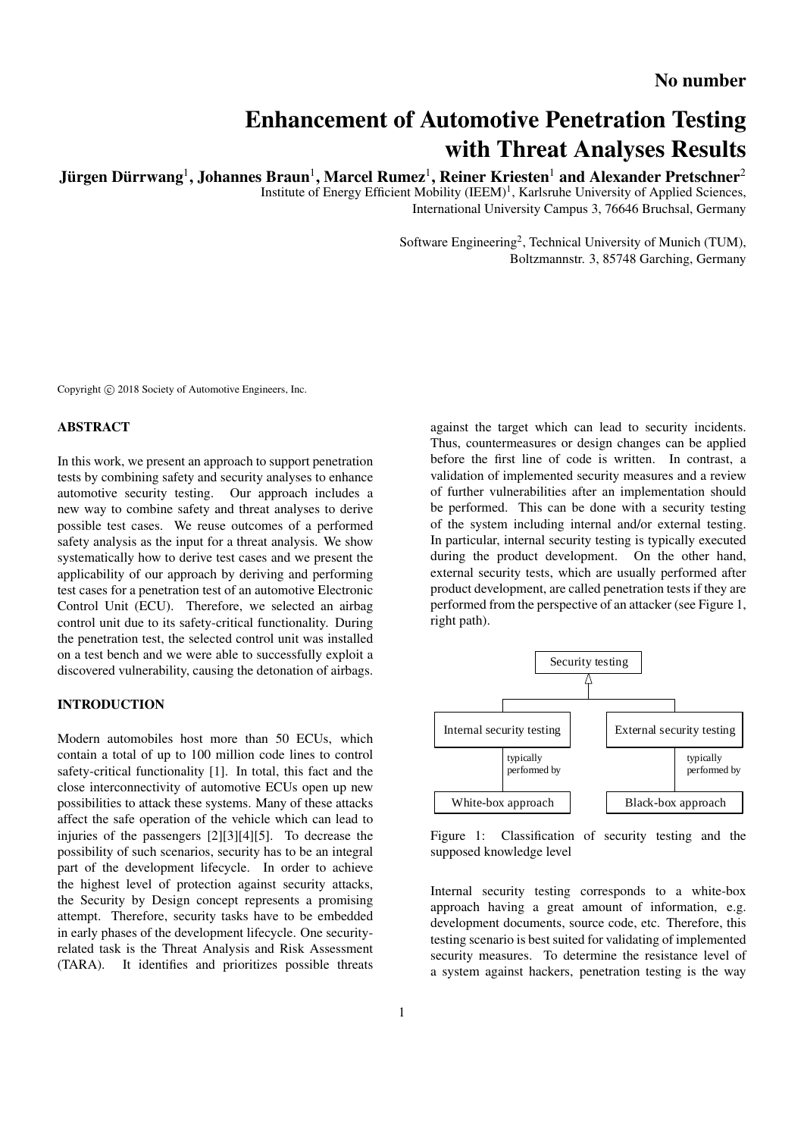# Enhancement of Automotive Penetration Testing with Threat Analyses Results

Jürgen Dürrwang<sup>1</sup>, Johannes Braun<sup>1</sup>, Marcel Rumez<sup>1</sup>, Reiner Kriesten<sup>1</sup> and Alexander Pretschner<sup>2</sup>

Institute of Energy Efficient Mobility (IEEM)<sup>1</sup>, Karlsruhe University of Applied Sciences, International University Campus 3, 76646 Bruchsal, Germany

> Software Engineering<sup>2</sup>, Technical University of Munich (TUM), Boltzmannstr. 3, 85748 Garching, Germany

Copyright  $\circ$  2018 Society of Automotive Engineers, Inc.

#### ABSTRACT

In this work, we present an approach to support penetration tests by combining safety and security analyses to enhance automotive security testing. Our approach includes a new way to combine safety and threat analyses to derive possible test cases. We reuse outcomes of a performed safety analysis as the input for a threat analysis. We show systematically how to derive test cases and we present the applicability of our approach by deriving and performing test cases for a penetration test of an automotive Electronic Control Unit (ECU). Therefore, we selected an airbag control unit due to its safety-critical functionality. During the penetration test, the selected control unit was installed on a test bench and we were able to successfully exploit a discovered vulnerability, causing the detonation of airbags.

#### INTRODUCTION

Modern automobiles host more than 50 ECUs, which contain a total of up to 100 million code lines to control safety-critical functionality [1]. In total, this fact and the close interconnectivity of automotive ECUs open up new possibilities to attack these systems. Many of these attacks affect the safe operation of the vehicle which can lead to injuries of the passengers [2][3][4][5]. To decrease the possibility of such scenarios, security has to be an integral part of the development lifecycle. In order to achieve the highest level of protection against security attacks, the Security by Design concept represents a promising attempt. Therefore, security tasks have to be embedded in early phases of the development lifecycle. One securityrelated task is the Threat Analysis and Risk Assessment (TARA). It identifies and prioritizes possible threats

against the target which can lead to security incidents. Thus, countermeasures or design changes can be applied before the first line of code is written. In contrast, a validation of implemented security measures and a review of further vulnerabilities after an implementation should be performed. This can be done with a security testing of the system including internal and/or external testing. In particular, internal security testing is typically executed during the product development. On the other hand, external security tests, which are usually performed after product development, are called penetration tests if they are performed from the perspective of an attacker (see Figure 1, right path).



Figure 1: Classification of security testing and the supposed knowledge level

Internal security testing corresponds to a white-box approach having a great amount of information, e.g. development documents, source code, etc. Therefore, this testing scenario is best suited for validating of implemented security measures. To determine the resistance level of a system against hackers, penetration testing is the way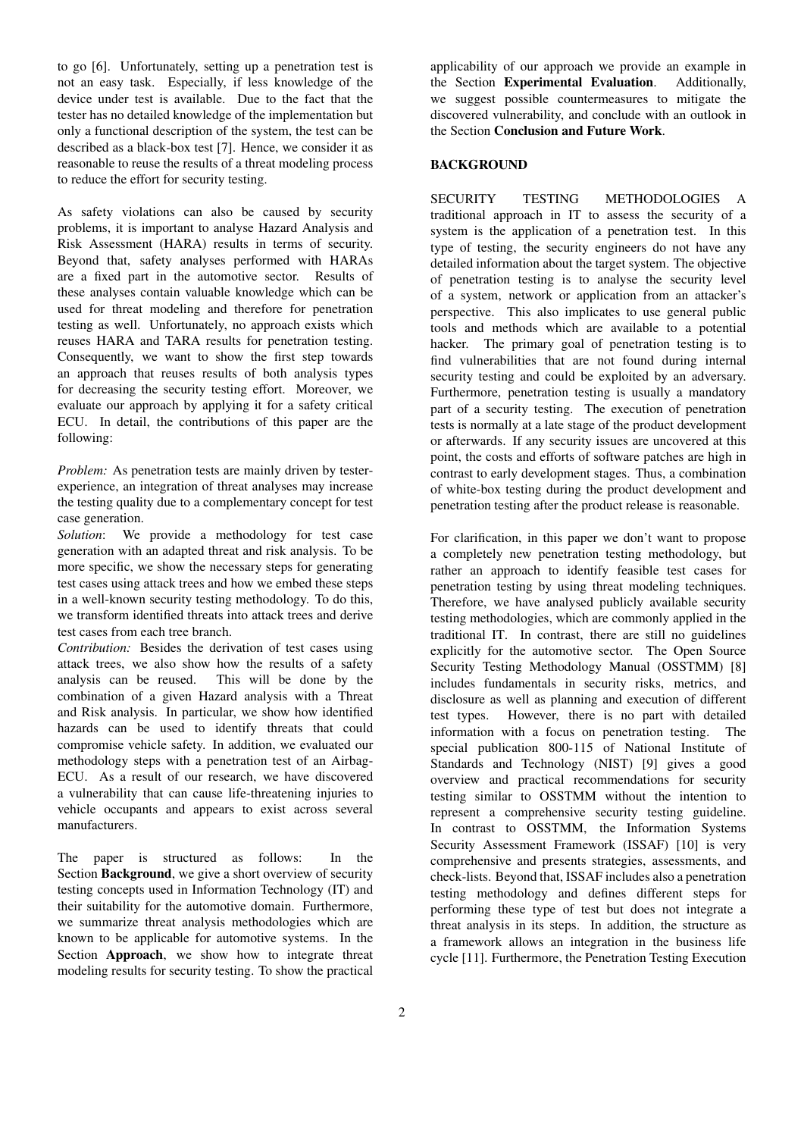to go [6]. Unfortunately, setting up a penetration test is not an easy task. Especially, if less knowledge of the device under test is available. Due to the fact that the tester has no detailed knowledge of the implementation but only a functional description of the system, the test can be described as a black-box test [7]. Hence, we consider it as reasonable to reuse the results of a threat modeling process to reduce the effort for security testing.

As safety violations can also be caused by security problems, it is important to analyse Hazard Analysis and Risk Assessment (HARA) results in terms of security. Beyond that, safety analyses performed with HARAs are a fixed part in the automotive sector. Results of these analyses contain valuable knowledge which can be used for threat modeling and therefore for penetration testing as well. Unfortunately, no approach exists which reuses HARA and TARA results for penetration testing. Consequently, we want to show the first step towards an approach that reuses results of both analysis types for decreasing the security testing effort. Moreover, we evaluate our approach by applying it for a safety critical ECU. In detail, the contributions of this paper are the following:

*Problem:* As penetration tests are mainly driven by testerexperience, an integration of threat analyses may increase the testing quality due to a complementary concept for test case generation.

*Solution*: We provide a methodology for test case generation with an adapted threat and risk analysis. To be more specific, we show the necessary steps for generating test cases using attack trees and how we embed these steps in a well-known security testing methodology. To do this, we transform identified threats into attack trees and derive test cases from each tree branch.

*Contribution:* Besides the derivation of test cases using attack trees, we also show how the results of a safety analysis can be reused. This will be done by the combination of a given Hazard analysis with a Threat and Risk analysis. In particular, we show how identified hazards can be used to identify threats that could compromise vehicle safety. In addition, we evaluated our methodology steps with a penetration test of an Airbag-ECU. As a result of our research, we have discovered a vulnerability that can cause life-threatening injuries to vehicle occupants and appears to exist across several manufacturers.

The paper is structured as follows: In the Section Background, we give a short overview of security testing concepts used in Information Technology (IT) and their suitability for the automotive domain. Furthermore, we summarize threat analysis methodologies which are known to be applicable for automotive systems. In the Section **Approach**, we show how to integrate threat modeling results for security testing. To show the practical

applicability of our approach we provide an example in the Section Experimental Evaluation. Additionally, we suggest possible countermeasures to mitigate the discovered vulnerability, and conclude with an outlook in the Section Conclusion and Future Work.

#### **BACKGROUND**

SECURITY TESTING METHODOLOGIES A traditional approach in IT to assess the security of a system is the application of a penetration test. In this type of testing, the security engineers do not have any detailed information about the target system. The objective of penetration testing is to analyse the security level of a system, network or application from an attacker's perspective. This also implicates to use general public tools and methods which are available to a potential hacker. The primary goal of penetration testing is to find vulnerabilities that are not found during internal security testing and could be exploited by an adversary. Furthermore, penetration testing is usually a mandatory part of a security testing. The execution of penetration tests is normally at a late stage of the product development or afterwards. If any security issues are uncovered at this point, the costs and efforts of software patches are high in contrast to early development stages. Thus, a combination of white-box testing during the product development and penetration testing after the product release is reasonable.

For clarification, in this paper we don't want to propose a completely new penetration testing methodology, but rather an approach to identify feasible test cases for penetration testing by using threat modeling techniques. Therefore, we have analysed publicly available security testing methodologies, which are commonly applied in the traditional IT. In contrast, there are still no guidelines explicitly for the automotive sector. The Open Source Security Testing Methodology Manual (OSSTMM) [8] includes fundamentals in security risks, metrics, and disclosure as well as planning and execution of different test types. However, there is no part with detailed information with a focus on penetration testing. The special publication 800-115 of National Institute of Standards and Technology (NIST) [9] gives a good overview and practical recommendations for security testing similar to OSSTMM without the intention to represent a comprehensive security testing guideline. In contrast to OSSTMM, the Information Systems Security Assessment Framework (ISSAF) [10] is very comprehensive and presents strategies, assessments, and check-lists. Beyond that, ISSAF includes also a penetration testing methodology and defines different steps for performing these type of test but does not integrate a threat analysis in its steps. In addition, the structure as a framework allows an integration in the business life cycle [11]. Furthermore, the Penetration Testing Execution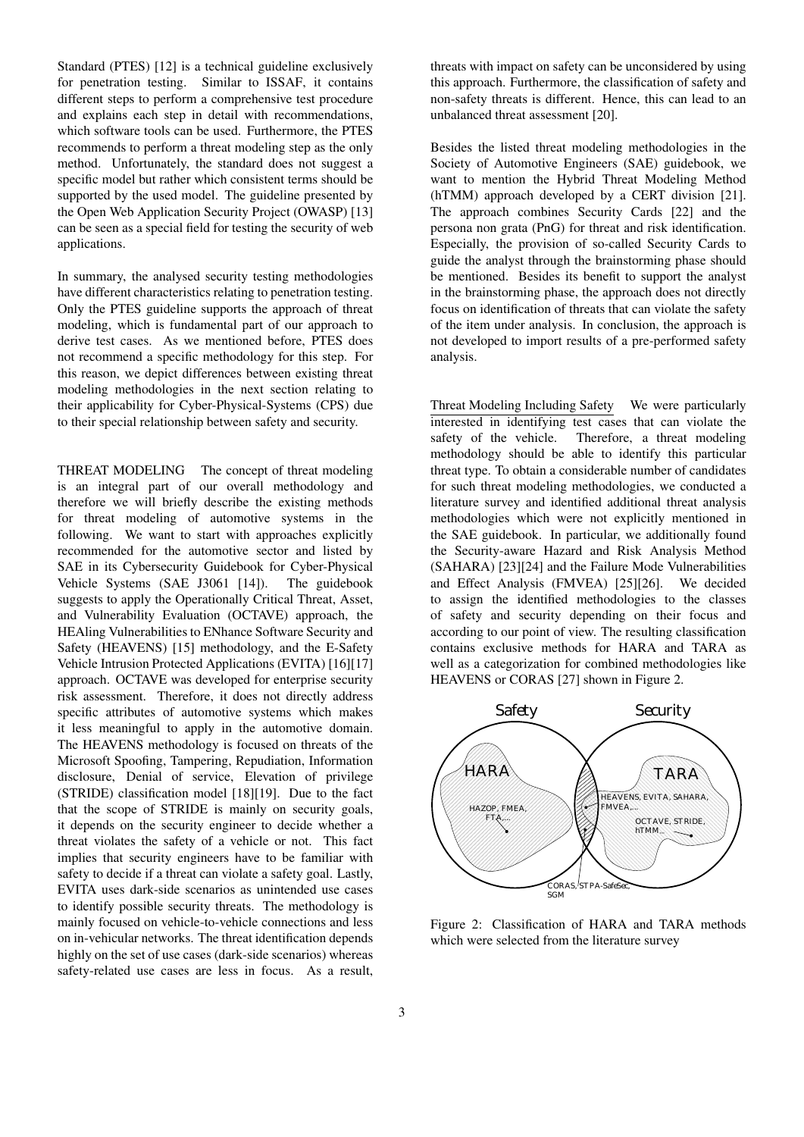Standard (PTES) [12] is a technical guideline exclusively for penetration testing. Similar to ISSAF, it contains different steps to perform a comprehensive test procedure and explains each step in detail with recommendations, which software tools can be used. Furthermore, the PTES recommends to perform a threat modeling step as the only method. Unfortunately, the standard does not suggest a specific model but rather which consistent terms should be supported by the used model. The guideline presented by the Open Web Application Security Project (OWASP) [13] can be seen as a special field for testing the security of web applications.

In summary, the analysed security testing methodologies have different characteristics relating to penetration testing. Only the PTES guideline supports the approach of threat modeling, which is fundamental part of our approach to derive test cases. As we mentioned before, PTES does not recommend a specific methodology for this step. For this reason, we depict differences between existing threat modeling methodologies in the next section relating to their applicability for Cyber-Physical-Systems (CPS) due to their special relationship between safety and security.

THREAT MODELING The concept of threat modeling is an integral part of our overall methodology and therefore we will briefly describe the existing methods for threat modeling of automotive systems in the following. We want to start with approaches explicitly recommended for the automotive sector and listed by SAE in its Cybersecurity Guidebook for Cyber-Physical Vehicle Systems (SAE J3061 [14]). The guidebook suggests to apply the Operationally Critical Threat, Asset, and Vulnerability Evaluation (OCTAVE) approach, the HEAling Vulnerabilities to ENhance Software Security and Safety (HEAVENS) [15] methodology, and the E-Safety Vehicle Intrusion Protected Applications (EVITA) [16][17] approach. OCTAVE was developed for enterprise security risk assessment. Therefore, it does not directly address specific attributes of automotive systems which makes it less meaningful to apply in the automotive domain. The HEAVENS methodology is focused on threats of the Microsoft Spoofing, Tampering, Repudiation, Information disclosure, Denial of service, Elevation of privilege (STRIDE) classification model [18][19]. Due to the fact that the scope of STRIDE is mainly on security goals, it depends on the security engineer to decide whether a threat violates the safety of a vehicle or not. This fact implies that security engineers have to be familiar with safety to decide if a threat can violate a safety goal. Lastly, EVITA uses dark-side scenarios as unintended use cases to identify possible security threats. The methodology is mainly focused on vehicle-to-vehicle connections and less on in-vehicular networks. The threat identification depends highly on the set of use cases (dark-side scenarios) whereas safety-related use cases are less in focus. As a result, threats with impact on safety can be unconsidered by using this approach. Furthermore, the classification of safety and non-safety threats is different. Hence, this can lead to an unbalanced threat assessment [20].

Besides the listed threat modeling methodologies in the Society of Automotive Engineers (SAE) guidebook, we want to mention the Hybrid Threat Modeling Method (hTMM) approach developed by a CERT division [21]. The approach combines Security Cards [22] and the persona non grata (PnG) for threat and risk identification. Especially, the provision of so-called Security Cards to guide the analyst through the brainstorming phase should be mentioned. Besides its benefit to support the analyst in the brainstorming phase, the approach does not directly focus on identification of threats that can violate the safety of the item under analysis. In conclusion, the approach is not developed to import results of a pre-performed safety analysis.

Threat Modeling Including Safety We were particularly interested in identifying test cases that can violate the safety of the vehicle. Therefore, a threat modeling methodology should be able to identify this particular threat type. To obtain a considerable number of candidates for such threat modeling methodologies, we conducted a literature survey and identified additional threat analysis methodologies which were not explicitly mentioned in the SAE guidebook. In particular, we additionally found the Security-aware Hazard and Risk Analysis Method (SAHARA) [23][24] and the Failure Mode Vulnerabilities and Effect Analysis (FMVEA) [25][26]. We decided to assign the identified methodologies to the classes of safety and security depending on their focus and according to our point of view. The resulting classification contains exclusive methods for HARA and TARA as well as a categorization for combined methodologies like HEAVENS or CORAS [27] shown in Figure 2.



Figure 2: Classification of HARA and TARA methods which were selected from the literature survey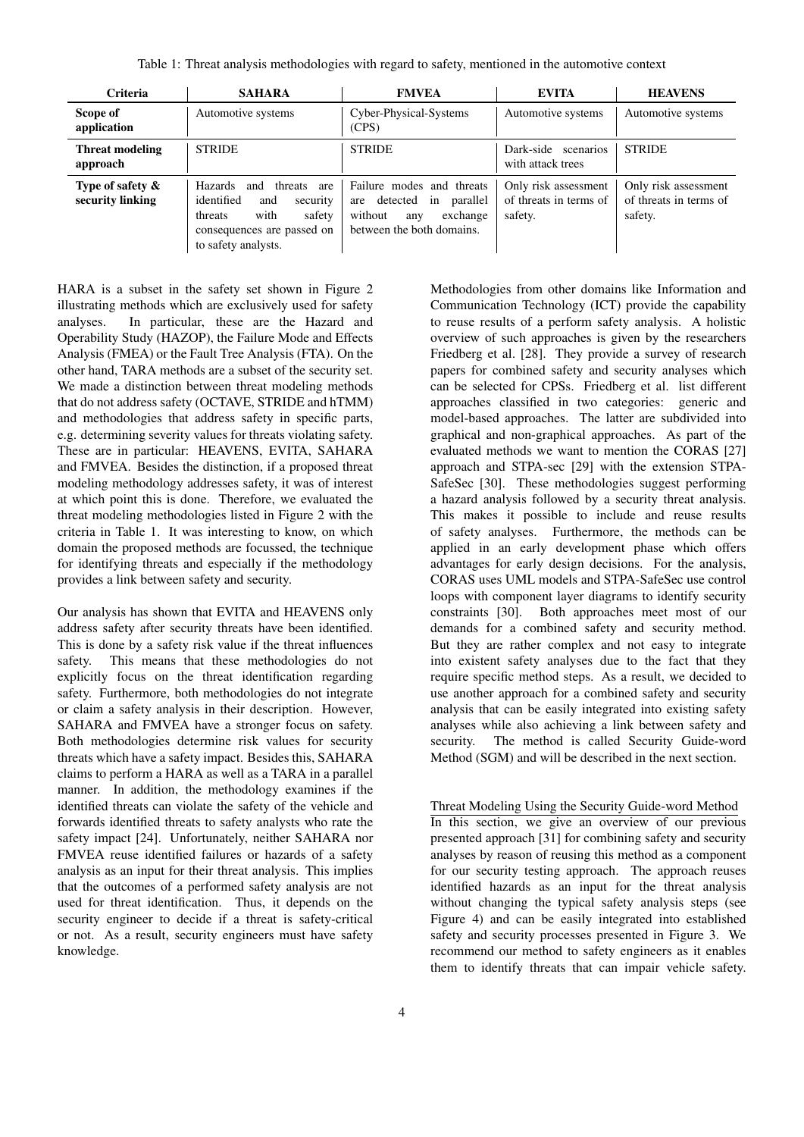Table 1: Threat analysis methodologies with regard to safety, mentioned in the automotive context

| <b>Criteria</b>                         | <b>SAHARA</b>                                                                                                                                              | <b>FMVEA</b>                                                                                                           | <b>EVITA</b>                                              | <b>HEAVENS</b>                                            |
|-----------------------------------------|------------------------------------------------------------------------------------------------------------------------------------------------------------|------------------------------------------------------------------------------------------------------------------------|-----------------------------------------------------------|-----------------------------------------------------------|
| Scope of<br>application                 | Automotive systems                                                                                                                                         | Cyber-Physical-Systems<br>(CPS)                                                                                        | Automotive systems                                        | Automotive systems                                        |
| <b>Threat modeling</b><br>approach      | <b>STRIDE</b>                                                                                                                                              | <b>STRIDE</b>                                                                                                          | Dark-side scenarios<br>with attack trees                  | <b>STRIDE</b>                                             |
| Type of safety $\&$<br>security linking | <b>Hazards</b><br>threats<br>are<br>and<br>identified<br>security<br>and<br>with<br>safety<br>threats<br>consequences are passed on<br>to safety analysts. | Failure modes and threats<br>detected in<br>parallel<br>are<br>without<br>exchange<br>any<br>between the both domains. | Only risk assessment<br>of threats in terms of<br>safety. | Only risk assessment<br>of threats in terms of<br>safety. |

HARA is a subset in the safety set shown in Figure 2 illustrating methods which are exclusively used for safety analyses. In particular, these are the Hazard and Operability Study (HAZOP), the Failure Mode and Effects Analysis (FMEA) or the Fault Tree Analysis (FTA). On the other hand, TARA methods are a subset of the security set. We made a distinction between threat modeling methods that do not address safety (OCTAVE, STRIDE and hTMM) and methodologies that address safety in specific parts, e.g. determining severity values for threats violating safety. These are in particular: HEAVENS, EVITA, SAHARA and FMVEA. Besides the distinction, if a proposed threat modeling methodology addresses safety, it was of interest at which point this is done. Therefore, we evaluated the threat modeling methodologies listed in Figure 2 with the criteria in Table 1. It was interesting to know, on which domain the proposed methods are focussed, the technique for identifying threats and especially if the methodology provides a link between safety and security.

Our analysis has shown that EVITA and HEAVENS only address safety after security threats have been identified. This is done by a safety risk value if the threat influences safety. This means that these methodologies do not explicitly focus on the threat identification regarding safety. Furthermore, both methodologies do not integrate or claim a safety analysis in their description. However, SAHARA and FMVEA have a stronger focus on safety. Both methodologies determine risk values for security threats which have a safety impact. Besides this, SAHARA claims to perform a HARA as well as a TARA in a parallel manner. In addition, the methodology examines if the identified threats can violate the safety of the vehicle and forwards identified threats to safety analysts who rate the safety impact [24]. Unfortunately, neither SAHARA nor FMVEA reuse identified failures or hazards of a safety analysis as an input for their threat analysis. This implies that the outcomes of a performed safety analysis are not used for threat identification. Thus, it depends on the security engineer to decide if a threat is safety-critical or not. As a result, security engineers must have safety knowledge.

Methodologies from other domains like Information and Communication Technology (ICT) provide the capability to reuse results of a perform safety analysis. A holistic overview of such approaches is given by the researchers Friedberg et al. [28]. They provide a survey of research papers for combined safety and security analyses which can be selected for CPSs. Friedberg et al. list different approaches classified in two categories: generic and model-based approaches. The latter are subdivided into graphical and non-graphical approaches. As part of the evaluated methods we want to mention the CORAS [27] approach and STPA-sec [29] with the extension STPA-SafeSec [30]. These methodologies suggest performing a hazard analysis followed by a security threat analysis. This makes it possible to include and reuse results of safety analyses. Furthermore, the methods can be applied in an early development phase which offers advantages for early design decisions. For the analysis, CORAS uses UML models and STPA-SafeSec use control loops with component layer diagrams to identify security constraints [30]. Both approaches meet most of our demands for a combined safety and security method. But they are rather complex and not easy to integrate into existent safety analyses due to the fact that they require specific method steps. As a result, we decided to use another approach for a combined safety and security analysis that can be easily integrated into existing safety analyses while also achieving a link between safety and security. The method is called Security Guide-word Method (SGM) and will be described in the next section.

Threat Modeling Using the Security Guide-word Method

In this section, we give an overview of our previous presented approach [31] for combining safety and security analyses by reason of reusing this method as a component for our security testing approach. The approach reuses identified hazards as an input for the threat analysis without changing the typical safety analysis steps (see Figure 4) and can be easily integrated into established safety and security processes presented in Figure 3. We recommend our method to safety engineers as it enables them to identify threats that can impair vehicle safety.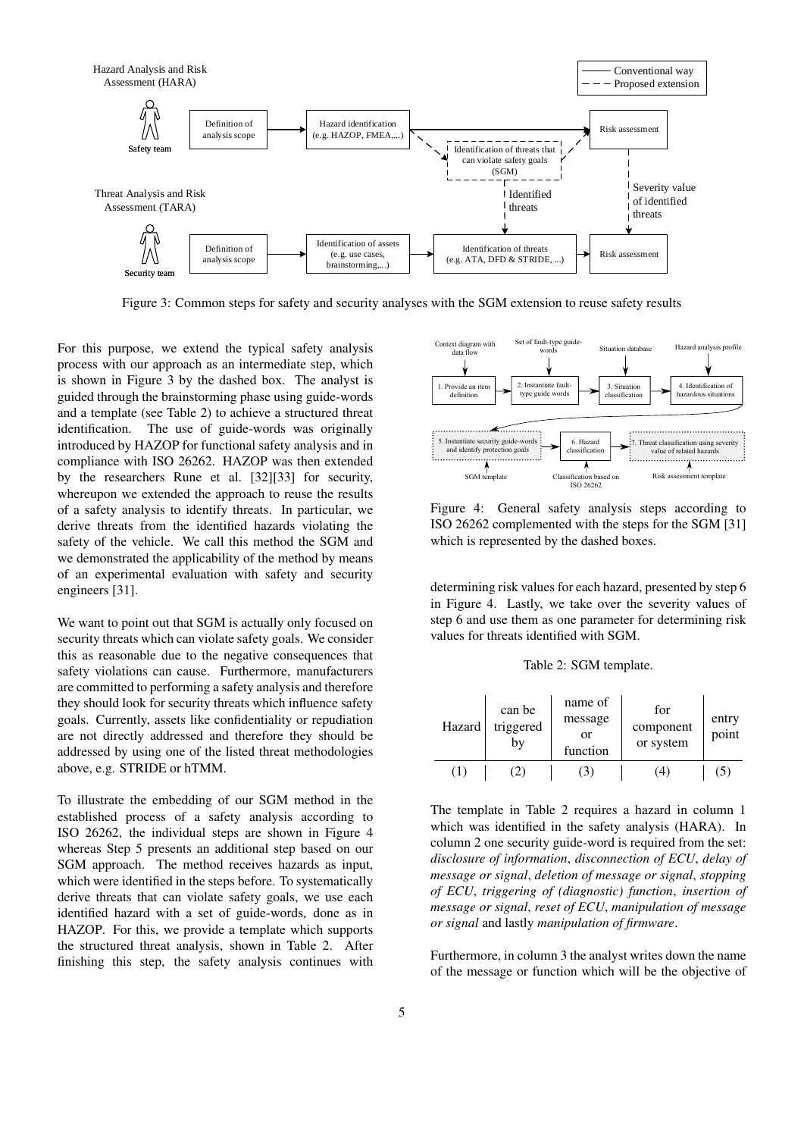

Figure 3: Common steps for safety and security analyses with the SGM extension to reuse safety results

For this purpose, we extend the typical safety analysis process with our approach as an intermediate step, which is shown in Figure 3 by the dashed box. The analyst is guided through the brainstorming phase using guide-words and a template (see Table 2) to achieve a structured threat identification. The use of guide-words was originally introduced by HAZOP for functional safety analysis and in compliance with ISO 26262. HAZOP was then extended by the researchers Rune et al. [32][33] for security, whereupon we extended the approach to reuse the results of a safety analysis to identify threats. In particular, we derive threats from the identified hazards violating the safety of the vehicle. We call this method the SGM and we demonstrated the applicability of the method by means of an experimental evaluation with safety and security engineers [31].

We want to point out that SGM is actually only focused on security threats which can violate safety goals. We consider this as reasonable due to the negative consequences that safety violations can cause. Furthermore, manufacturers are committed to performing a safety analysis and therefore they should look for security threats which influence safety goals. Currently, assets like confidentiality or repudiation are not directly addressed and therefore they should be addressed by using one of the listed threat methodologies above, e.g. STRIDE or hTMM.

To illustrate the embedding of our SGM method in the established process of a safety analysis according to ISO 26262, the individual steps are shown in Figure 4 whereas Step 5 presents an additional step based on our SGM approach. The method receives hazards as input, which were identified in the steps before. To systematically derive threats that can violate safety goals, we use each identified hazard with a set of guide-words, done as in HAZOP. For this, we provide a template which supports the structured threat analysis, shown in Table 2. After finishing this step, the safety analysis continues with



Figure 4: General safety analysis steps according to ISO 26262 complemented with the steps for the SGM [31] which is represented by the dashed boxes.

determining risk values for each hazard, presented by step 6 in Figure 4. Lastly, we take over the severity values of step 6 and use them as one parameter for determining risk values for threats identified with SGM.

|  |  | Table 2: SGM template. |
|--|--|------------------------|
|--|--|------------------------|

| Hazard | can be<br>triggered<br>by | name of<br>message<br>or<br>function | for<br>component<br>or system | entry<br>point |
|--------|---------------------------|--------------------------------------|-------------------------------|----------------|
| H      |                           |                                      |                               | C)             |

The template in Table 2 requires a hazard in column 1 which was identified in the safety analysis (HARA). In column 2 one security guide-word is required from the set: *disclosure of information*, *disconnection of ECU*, *delay of message or signal*, *deletion of message or signal*, *stopping of ECU*, *triggering of (diagnostic) function*, *insertion of message or signal*, *reset of ECU*, *manipulation of message or signal* and lastly *manipulation of firmware*.

Furthermore, in column 3 the analyst writes down the name of the message or function which will be the objective of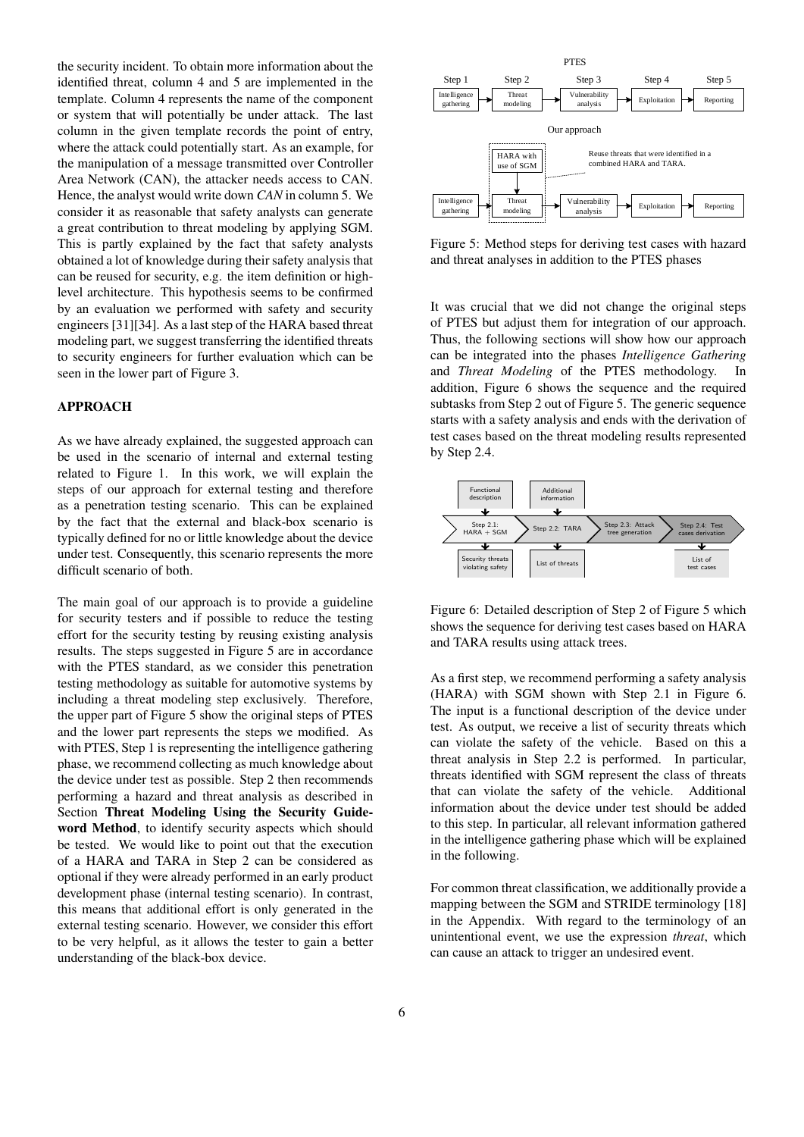the security incident. To obtain more information about the identified threat, column 4 and 5 are implemented in the template. Column 4 represents the name of the component or system that will potentially be under attack. The last column in the given template records the point of entry, where the attack could potentially start. As an example, for the manipulation of a message transmitted over Controller Area Network (CAN), the attacker needs access to CAN. Hence, the analyst would write down *CAN* in column 5. We consider it as reasonable that safety analysts can generate a great contribution to threat modeling by applying SGM. This is partly explained by the fact that safety analysts obtained a lot of knowledge during their safety analysis that can be reused for security, e.g. the item definition or highlevel architecture. This hypothesis seems to be confirmed by an evaluation we performed with safety and security engineers [31][34]. As a last step of the HARA based threat modeling part, we suggest transferring the identified threats to security engineers for further evaluation which can be seen in the lower part of Figure 3.

# APPROACH

As we have already explained, the suggested approach can be used in the scenario of internal and external testing related to Figure 1. In this work, we will explain the steps of our approach for external testing and therefore as a penetration testing scenario. This can be explained by the fact that the external and black-box scenario is typically defined for no or little knowledge about the device under test. Consequently, this scenario represents the more difficult scenario of both.

The main goal of our approach is to provide a guideline for security testers and if possible to reduce the testing effort for the security testing by reusing existing analysis results. The steps suggested in Figure 5 are in accordance with the PTES standard, as we consider this penetration testing methodology as suitable for automotive systems by including a threat modeling step exclusively. Therefore, the upper part of Figure 5 show the original steps of PTES and the lower part represents the steps we modified. As with PTES, Step 1 is representing the intelligence gathering phase, we recommend collecting as much knowledge about the device under test as possible. Step 2 then recommends performing a hazard and threat analysis as described in Section Threat Modeling Using the Security Guideword Method, to identify security aspects which should be tested. We would like to point out that the execution of a HARA and TARA in Step 2 can be considered as optional if they were already performed in an early product development phase (internal testing scenario). In contrast, this means that additional effort is only generated in the external testing scenario. However, we consider this effort to be very helpful, as it allows the tester to gain a better understanding of the black-box device.



Figure 5: Method steps for deriving test cases with hazard and threat analyses in addition to the PTES phases

It was crucial that we did not change the original steps of PTES but adjust them for integration of our approach. Thus, the following sections will show how our approach can be integrated into the phases *Intelligence Gathering* and *Threat Modeling* of the PTES methodology. In addition, Figure 6 shows the sequence and the required subtasks from Step 2 out of Figure 5. The generic sequence starts with a safety analysis and ends with the derivation of test cases based on the threat modeling results represented by Step 2.4.



Figure 6: Detailed description of Step 2 of Figure 5 which shows the sequence for deriving test cases based on HARA and TARA results using attack trees.

As a first step, we recommend performing a safety analysis (HARA) with SGM shown with Step 2.1 in Figure 6. The input is a functional description of the device under test. As output, we receive a list of security threats which can violate the safety of the vehicle. Based on this a threat analysis in Step 2.2 is performed. In particular, threats identified with SGM represent the class of threats that can violate the safety of the vehicle. Additional information about the device under test should be added to this step. In particular, all relevant information gathered in the intelligence gathering phase which will be explained in the following.

For common threat classification, we additionally provide a mapping between the SGM and STRIDE terminology [18] in the Appendix. With regard to the terminology of an unintentional event, we use the expression *threat*, which can cause an attack to trigger an undesired event.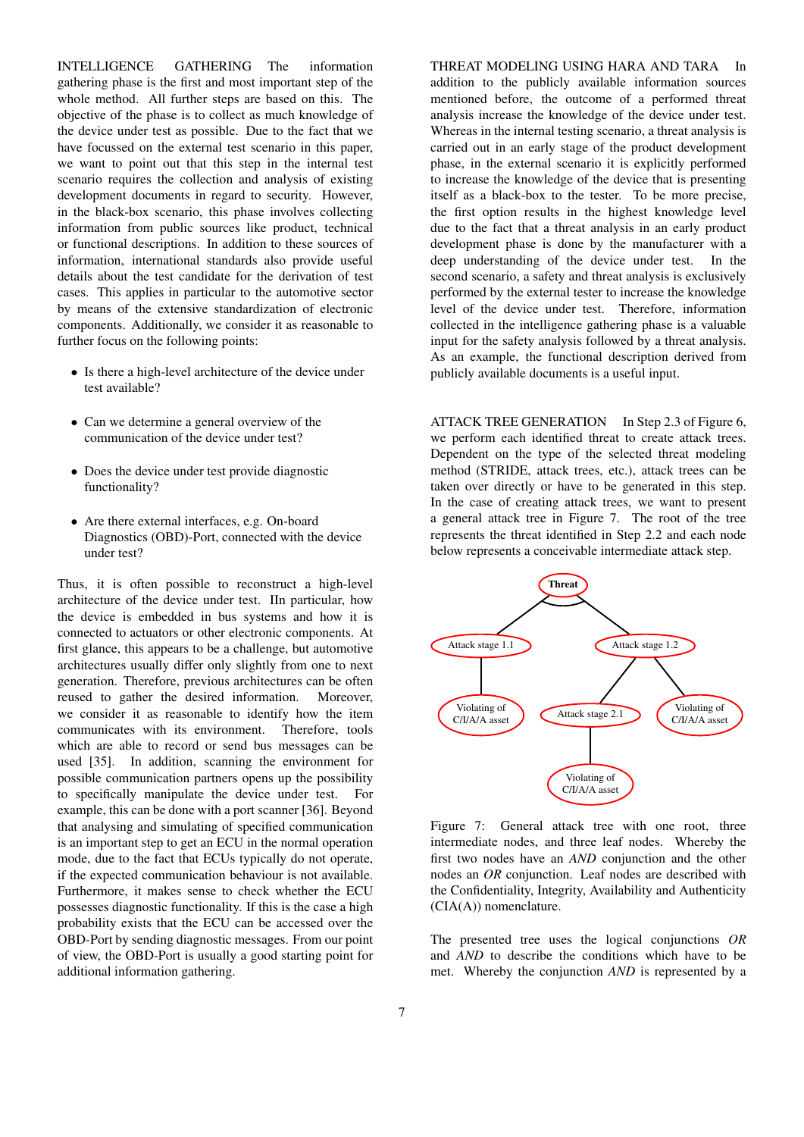INTELLIGENCE GATHERING The information gathering phase is the first and most important step of the whole method. All further steps are based on this. The objective of the phase is to collect as much knowledge of the device under test as possible. Due to the fact that we have focussed on the external test scenario in this paper, we want to point out that this step in the internal test scenario requires the collection and analysis of existing development documents in regard to security. However, in the black-box scenario, this phase involves collecting information from public sources like product, technical or functional descriptions. In addition to these sources of information, international standards also provide useful details about the test candidate for the derivation of test cases. This applies in particular to the automotive sector by means of the extensive standardization of electronic components. Additionally, we consider it as reasonable to further focus on the following points:

- Is there a high-level architecture of the device under test available?
- Can we determine a general overview of the communication of the device under test?
- Does the device under test provide diagnostic functionality?
- Are there external interfaces, e.g. On-board Diagnostics (OBD)-Port, connected with the device under test?

Thus, it is often possible to reconstruct a high-level architecture of the device under test. IIn particular, how the device is embedded in bus systems and how it is connected to actuators or other electronic components. At first glance, this appears to be a challenge, but automotive architectures usually differ only slightly from one to next generation. Therefore, previous architectures can be often reused to gather the desired information. Moreover, we consider it as reasonable to identify how the item communicates with its environment. Therefore, tools which are able to record or send bus messages can be used [35]. In addition, scanning the environment for possible communication partners opens up the possibility to specifically manipulate the device under test. For example, this can be done with a port scanner [36]. Beyond that analysing and simulating of specified communication is an important step to get an ECU in the normal operation mode, due to the fact that ECUs typically do not operate, if the expected communication behaviour is not available. Furthermore, it makes sense to check whether the ECU possesses diagnostic functionality. If this is the case a high probability exists that the ECU can be accessed over the OBD-Port by sending diagnostic messages. From our point of view, the OBD-Port is usually a good starting point for additional information gathering.

THREAT MODELING USING HARA AND TARA In addition to the publicly available information sources mentioned before, the outcome of a performed threat analysis increase the knowledge of the device under test. Whereas in the internal testing scenario, a threat analysis is carried out in an early stage of the product development phase, in the external scenario it is explicitly performed to increase the knowledge of the device that is presenting itself as a black-box to the tester. To be more precise, the first option results in the highest knowledge level due to the fact that a threat analysis in an early product development phase is done by the manufacturer with a deep understanding of the device under test. In the second scenario, a safety and threat analysis is exclusively performed by the external tester to increase the knowledge level of the device under test. Therefore, information collected in the intelligence gathering phase is a valuable input for the safety analysis followed by a threat analysis. As an example, the functional description derived from publicly available documents is a useful input.

ATTACK TREE GENERATION In Step 2.3 of Figure 6, we perform each identified threat to create attack trees. Dependent on the type of the selected threat modeling method (STRIDE, attack trees, etc.), attack trees can be taken over directly or have to be generated in this step. In the case of creating attack trees, we want to present a general attack tree in Figure 7. The root of the tree represents the threat identified in Step 2.2 and each node below represents a conceivable intermediate attack step.



Figure 7: General attack tree with one root, three intermediate nodes, and three leaf nodes. Whereby the first two nodes have an *AND* conjunction and the other nodes an *OR* conjunction. Leaf nodes are described with the Confidentiality, Integrity, Availability and Authenticity (CIA(A)) nomenclature.

The presented tree uses the logical conjunctions *OR* and *AND* to describe the conditions which have to be met. Whereby the conjunction *AND* is represented by a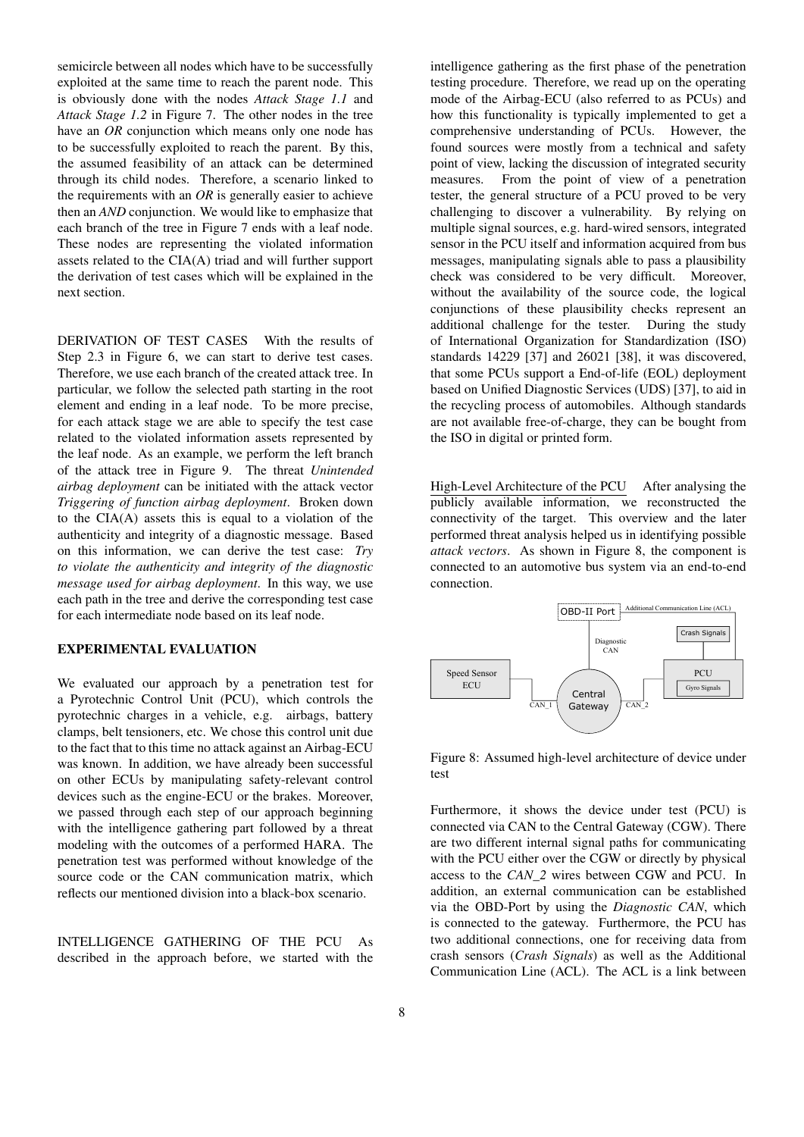semicircle between all nodes which have to be successfully exploited at the same time to reach the parent node. This is obviously done with the nodes *Attack Stage 1.1* and *Attack Stage 1.2* in Figure 7. The other nodes in the tree have an *OR* conjunction which means only one node has to be successfully exploited to reach the parent. By this, the assumed feasibility of an attack can be determined through its child nodes. Therefore, a scenario linked to the requirements with an *OR* is generally easier to achieve then an *AND* conjunction. We would like to emphasize that each branch of the tree in Figure 7 ends with a leaf node. These nodes are representing the violated information assets related to the CIA(A) triad and will further support the derivation of test cases which will be explained in the next section.

DERIVATION OF TEST CASES With the results of Step 2.3 in Figure 6, we can start to derive test cases. Therefore, we use each branch of the created attack tree. In particular, we follow the selected path starting in the root element and ending in a leaf node. To be more precise, for each attack stage we are able to specify the test case related to the violated information assets represented by the leaf node. As an example, we perform the left branch of the attack tree in Figure 9. The threat *Unintended airbag deployment* can be initiated with the attack vector *Triggering of function airbag deployment*. Broken down to the CIA(A) assets this is equal to a violation of the authenticity and integrity of a diagnostic message. Based on this information, we can derive the test case: *Try to violate the authenticity and integrity of the diagnostic message used for airbag deployment*. In this way, we use each path in the tree and derive the corresponding test case for each intermediate node based on its leaf node.

### EXPERIMENTAL EVALUATION

We evaluated our approach by a penetration test for a Pyrotechnic Control Unit (PCU), which controls the pyrotechnic charges in a vehicle, e.g. airbags, battery clamps, belt tensioners, etc. We chose this control unit due to the fact that to this time no attack against an Airbag-ECU was known. In addition, we have already been successful on other ECUs by manipulating safety-relevant control devices such as the engine-ECU or the brakes. Moreover, we passed through each step of our approach beginning with the intelligence gathering part followed by a threat modeling with the outcomes of a performed HARA. The penetration test was performed without knowledge of the source code or the CAN communication matrix, which reflects our mentioned division into a black-box scenario.

INTELLIGENCE GATHERING OF THE PCU As described in the approach before, we started with the intelligence gathering as the first phase of the penetration testing procedure. Therefore, we read up on the operating mode of the Airbag-ECU (also referred to as PCUs) and how this functionality is typically implemented to get a comprehensive understanding of PCUs. However, the found sources were mostly from a technical and safety point of view, lacking the discussion of integrated security measures. From the point of view of a penetration tester, the general structure of a PCU proved to be very challenging to discover a vulnerability. By relying on multiple signal sources, e.g. hard-wired sensors, integrated sensor in the PCU itself and information acquired from bus messages, manipulating signals able to pass a plausibility check was considered to be very difficult. Moreover, without the availability of the source code, the logical conjunctions of these plausibility checks represent an additional challenge for the tester. During the study of International Organization for Standardization (ISO) standards 14229 [37] and 26021 [38], it was discovered, that some PCUs support a End-of-life (EOL) deployment based on Unified Diagnostic Services (UDS) [37], to aid in the recycling process of automobiles. Although standards are not available free-of-charge, they can be bought from the ISO in digital or printed form.

High-Level Architecture of the PCU After analysing the publicly available information, we reconstructed the connectivity of the target. This overview and the later performed threat analysis helped us in identifying possible *attack vectors*. As shown in Figure 8, the component is connected to an automotive bus system via an end-to-end connection.



Figure 8: Assumed high-level architecture of device under test

Furthermore, it shows the device under test (PCU) is connected via CAN to the Central Gateway (CGW). There are two different internal signal paths for communicating with the PCU either over the CGW or directly by physical access to the *CAN\_2* wires between CGW and PCU. In addition, an external communication can be established via the OBD-Port by using the *Diagnostic CAN*, which is connected to the gateway. Furthermore, the PCU has two additional connections, one for receiving data from crash sensors (*Crash Signals*) as well as the Additional Communication Line (ACL). The ACL is a link between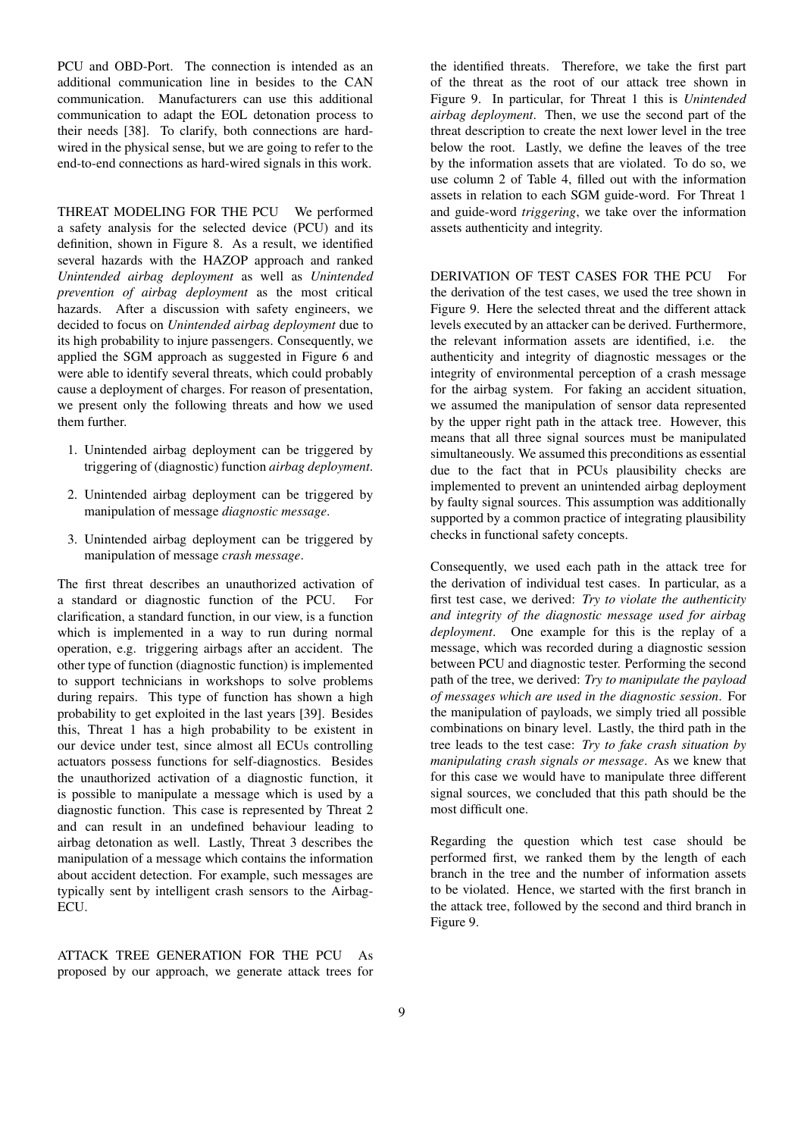PCU and OBD-Port. The connection is intended as an additional communication line in besides to the CAN communication. Manufacturers can use this additional communication to adapt the EOL detonation process to their needs [38]. To clarify, both connections are hardwired in the physical sense, but we are going to refer to the end-to-end connections as hard-wired signals in this work.

THREAT MODELING FOR THE PCU We performed a safety analysis for the selected device (PCU) and its definition, shown in Figure 8. As a result, we identified several hazards with the HAZOP approach and ranked *Unintended airbag deployment* as well as *Unintended prevention of airbag deployment* as the most critical hazards. After a discussion with safety engineers, we decided to focus on *Unintended airbag deployment* due to its high probability to injure passengers. Consequently, we applied the SGM approach as suggested in Figure 6 and were able to identify several threats, which could probably cause a deployment of charges. For reason of presentation, we present only the following threats and how we used them further.

- 1. Unintended airbag deployment can be triggered by triggering of (diagnostic) function *airbag deployment*.
- 2. Unintended airbag deployment can be triggered by manipulation of message *diagnostic message*.
- 3. Unintended airbag deployment can be triggered by manipulation of message *crash message*.

The first threat describes an unauthorized activation of a standard or diagnostic function of the PCU. For clarification, a standard function, in our view, is a function which is implemented in a way to run during normal operation, e.g. triggering airbags after an accident. The other type of function (diagnostic function) is implemented to support technicians in workshops to solve problems during repairs. This type of function has shown a high probability to get exploited in the last years [39]. Besides this, Threat 1 has a high probability to be existent in our device under test, since almost all ECUs controlling actuators possess functions for self-diagnostics. Besides the unauthorized activation of a diagnostic function, it is possible to manipulate a message which is used by a diagnostic function. This case is represented by Threat 2 and can result in an undefined behaviour leading to airbag detonation as well. Lastly, Threat 3 describes the manipulation of a message which contains the information about accident detection. For example, such messages are typically sent by intelligent crash sensors to the Airbag-ECU.

ATTACK TREE GENERATION FOR THE PCU As proposed by our approach, we generate attack trees for

the identified threats. Therefore, we take the first part of the threat as the root of our attack tree shown in Figure 9. In particular, for Threat 1 this is *Unintended airbag deployment*. Then, we use the second part of the threat description to create the next lower level in the tree below the root. Lastly, we define the leaves of the tree by the information assets that are violated. To do so, we use column 2 of Table 4, filled out with the information assets in relation to each SGM guide-word. For Threat 1 and guide-word *triggering*, we take over the information assets authenticity and integrity.

DERIVATION OF TEST CASES FOR THE PCU For the derivation of the test cases, we used the tree shown in Figure 9. Here the selected threat and the different attack levels executed by an attacker can be derived. Furthermore, the relevant information assets are identified, i.e. the authenticity and integrity of diagnostic messages or the integrity of environmental perception of a crash message for the airbag system. For faking an accident situation, we assumed the manipulation of sensor data represented by the upper right path in the attack tree. However, this means that all three signal sources must be manipulated simultaneously. We assumed this preconditions as essential due to the fact that in PCUs plausibility checks are implemented to prevent an unintended airbag deployment by faulty signal sources. This assumption was additionally supported by a common practice of integrating plausibility checks in functional safety concepts.

Consequently, we used each path in the attack tree for the derivation of individual test cases. In particular, as a first test case, we derived: *Try to violate the authenticity and integrity of the diagnostic message used for airbag deployment*. One example for this is the replay of a message, which was recorded during a diagnostic session between PCU and diagnostic tester. Performing the second path of the tree, we derived: *Try to manipulate the payload of messages which are used in the diagnostic session*. For the manipulation of payloads, we simply tried all possible combinations on binary level. Lastly, the third path in the tree leads to the test case: *Try to fake crash situation by manipulating crash signals or message*. As we knew that for this case we would have to manipulate three different signal sources, we concluded that this path should be the most difficult one.

Regarding the question which test case should be performed first, we ranked them by the length of each branch in the tree and the number of information assets to be violated. Hence, we started with the first branch in the attack tree, followed by the second and third branch in Figure 9.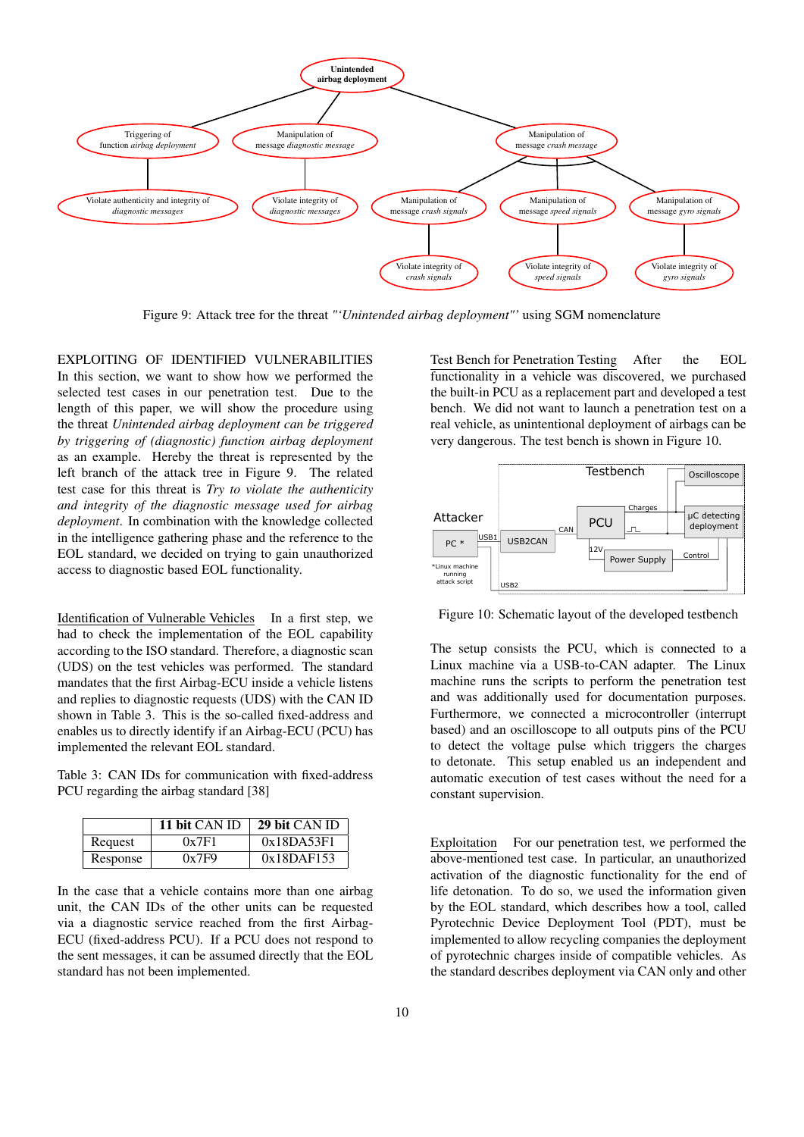

Figure 9: Attack tree for the threat *"'Unintended airbag deployment"'* using SGM nomenclature

EXPLOITING OF IDENTIFIED VULNERABILITIES In this section, we want to show how we performed the selected test cases in our penetration test. Due to the length of this paper, we will show the procedure using the threat *Unintended airbag deployment can be triggered by triggering of (diagnostic) function airbag deployment* as an example. Hereby the threat is represented by the left branch of the attack tree in Figure 9. The related test case for this threat is *Try to violate the authenticity and integrity of the diagnostic message used for airbag deployment*. In combination with the knowledge collected in the intelligence gathering phase and the reference to the EOL standard, we decided on trying to gain unauthorized access to diagnostic based EOL functionality.

Identification of Vulnerable Vehicles In a first step, we had to check the implementation of the EOL capability according to the ISO standard. Therefore, a diagnostic scan (UDS) on the test vehicles was performed. The standard mandates that the first Airbag-ECU inside a vehicle listens and replies to diagnostic requests (UDS) with the CAN ID shown in Table 3. This is the so-called fixed-address and enables us to directly identify if an Airbag-ECU (PCU) has implemented the relevant EOL standard.

Table 3: CAN IDs for communication with fixed-address PCU regarding the airbag standard [38]

|          | 11 bit CAN ID | 29 bit CAN ID |
|----------|---------------|---------------|
| Request  | 0x7F1         | 0x18DA53F1    |
| Response | 0x7F9         | 0x18DAF153    |

In the case that a vehicle contains more than one airbag unit, the CAN IDs of the other units can be requested via a diagnostic service reached from the first Airbag-ECU (fixed-address PCU). If a PCU does not respond to the sent messages, it can be assumed directly that the EOL standard has not been implemented.

Test Bench for Penetration Testing After the EOL functionality in a vehicle was discovered, we purchased the built-in PCU as a replacement part and developed a test bench. We did not want to launch a penetration test on a real vehicle, as unintentional deployment of airbags can be very dangerous. The test bench is shown in Figure 10.



Figure 10: Schematic layout of the developed testbench

The setup consists the PCU, which is connected to a Linux machine via a USB-to-CAN adapter. The Linux machine runs the scripts to perform the penetration test and was additionally used for documentation purposes. Furthermore, we connected a microcontroller (interrupt based) and an oscilloscope to all outputs pins of the PCU to detect the voltage pulse which triggers the charges to detonate. This setup enabled us an independent and automatic execution of test cases without the need for a constant supervision.

Exploitation For our penetration test, we performed the above-mentioned test case. In particular, an unauthorized activation of the diagnostic functionality for the end of life detonation. To do so, we used the information given by the EOL standard, which describes how a tool, called Pyrotechnic Device Deployment Tool (PDT), must be implemented to allow recycling companies the deployment of pyrotechnic charges inside of compatible vehicles. As the standard describes deployment via CAN only and other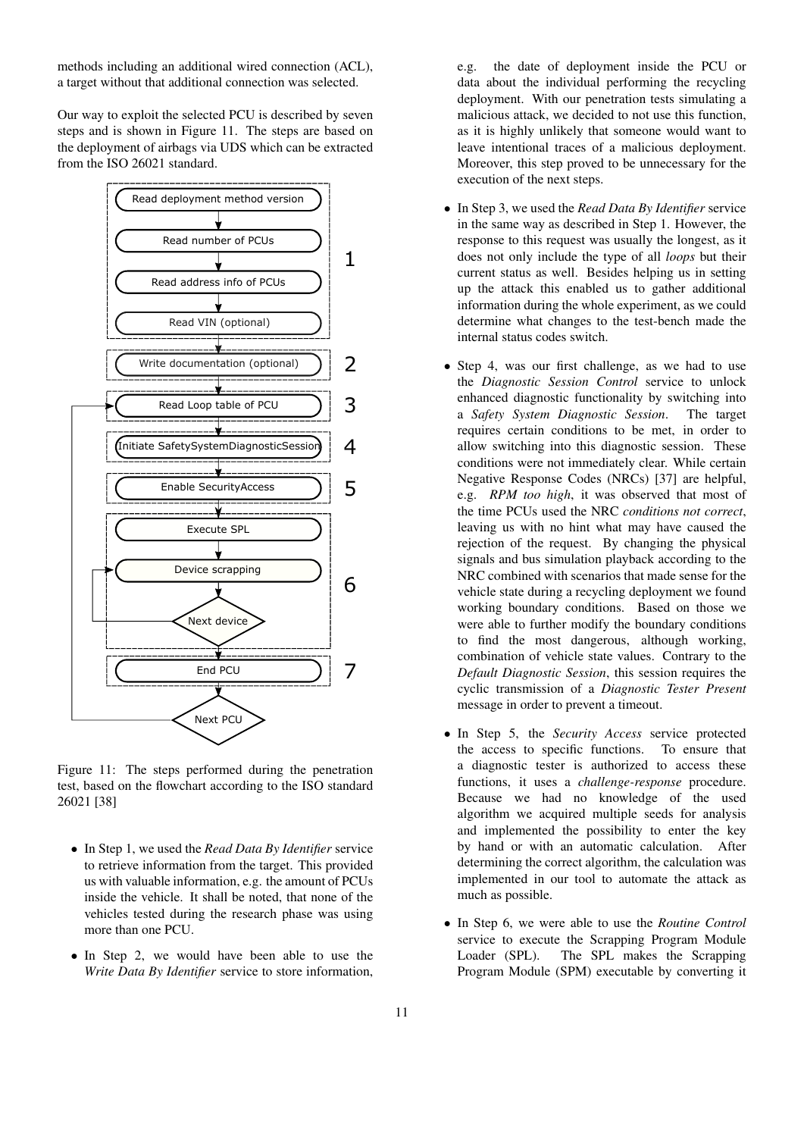methods including an additional wired connection (ACL), a target without that additional connection was selected.

Our way to exploit the selected PCU is described by seven steps and is shown in Figure 11. The steps are based on the deployment of airbags via UDS which can be extracted from the ISO 26021 standard.



Figure 11: The steps performed during the penetration test, based on the flowchart according to the ISO standard 26021 [38]

- In Step 1, we used the *Read Data By Identifier* service to retrieve information from the target. This provided us with valuable information, e.g. the amount of PCUs inside the vehicle. It shall be noted, that none of the vehicles tested during the research phase was using more than one PCU.
- In Step 2, we would have been able to use the *Write Data By Identifier* service to store information,

e.g. the date of deployment inside the PCU or data about the individual performing the recycling deployment. With our penetration tests simulating a malicious attack, we decided to not use this function, as it is highly unlikely that someone would want to leave intentional traces of a malicious deployment. Moreover, this step proved to be unnecessary for the execution of the next steps.

- In Step 3, we used the *Read Data By Identifier* service in the same way as described in Step 1. However, the response to this request was usually the longest, as it does not only include the type of all *loops* but their current status as well. Besides helping us in setting up the attack this enabled us to gather additional information during the whole experiment, as we could determine what changes to the test-bench made the internal status codes switch.
- Step 4, was our first challenge, as we had to use the *Diagnostic Session Control* service to unlock enhanced diagnostic functionality by switching into a *Safety System Diagnostic Session*. The target requires certain conditions to be met, in order to allow switching into this diagnostic session. These conditions were not immediately clear. While certain Negative Response Codes (NRCs) [37] are helpful, e.g. *RPM too high*, it was observed that most of the time PCUs used the NRC *conditions not correct*, leaving us with no hint what may have caused the rejection of the request. By changing the physical signals and bus simulation playback according to the NRC combined with scenarios that made sense for the vehicle state during a recycling deployment we found working boundary conditions. Based on those we were able to further modify the boundary conditions to find the most dangerous, although working, combination of vehicle state values. Contrary to the *Default Diagnostic Session*, this session requires the cyclic transmission of a *Diagnostic Tester Present* message in order to prevent a timeout.
- In Step 5, the *Security Access* service protected the access to specific functions. To ensure that a diagnostic tester is authorized to access these functions, it uses a *challenge-response* procedure. Because we had no knowledge of the used algorithm we acquired multiple seeds for analysis and implemented the possibility to enter the key by hand or with an automatic calculation. After determining the correct algorithm, the calculation was implemented in our tool to automate the attack as much as possible.
- In Step 6, we were able to use the *Routine Control* service to execute the Scrapping Program Module Loader (SPL). The SPL makes the Scrapping Program Module (SPM) executable by converting it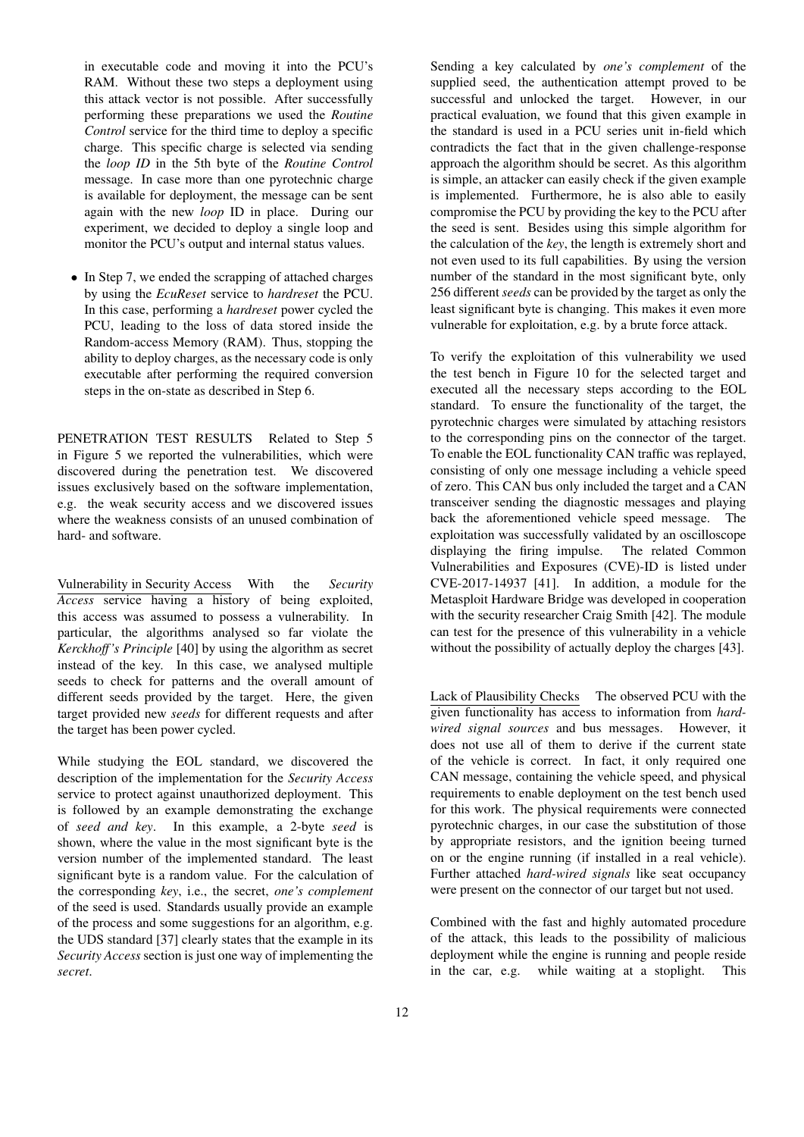in executable code and moving it into the PCU's RAM. Without these two steps a deployment using this attack vector is not possible. After successfully performing these preparations we used the *Routine Control* service for the third time to deploy a specific charge. This specific charge is selected via sending the *loop ID* in the 5th byte of the *Routine Control* message. In case more than one pyrotechnic charge is available for deployment, the message can be sent again with the new *loop* ID in place. During our experiment, we decided to deploy a single loop and monitor the PCU's output and internal status values.

• In Step 7, we ended the scrapping of attached charges by using the *EcuReset* service to *hardreset* the PCU. In this case, performing a *hardreset* power cycled the PCU, leading to the loss of data stored inside the Random-access Memory (RAM). Thus, stopping the ability to deploy charges, as the necessary code is only executable after performing the required conversion steps in the on-state as described in Step 6.

PENETRATION TEST RESULTS Related to Step 5 in Figure 5 we reported the vulnerabilities, which were discovered during the penetration test. We discovered issues exclusively based on the software implementation, e.g. the weak security access and we discovered issues where the weakness consists of an unused combination of hard- and software.

Vulnerability in Security Access With the *Security Access* service having a history of being exploited, this access was assumed to possess a vulnerability. In particular, the algorithms analysed so far violate the *Kerckhoff 's Principle* [40] by using the algorithm as secret instead of the key. In this case, we analysed multiple seeds to check for patterns and the overall amount of different seeds provided by the target. Here, the given target provided new *seeds* for different requests and after the target has been power cycled.

While studying the EOL standard, we discovered the description of the implementation for the *Security Access* service to protect against unauthorized deployment. This is followed by an example demonstrating the exchange of *seed and key*. In this example, a 2-byte *seed* is shown, where the value in the most significant byte is the version number of the implemented standard. The least significant byte is a random value. For the calculation of the corresponding *key*, i.e., the secret, *one's complement* of the seed is used. Standards usually provide an example of the process and some suggestions for an algorithm, e.g. the UDS standard [37] clearly states that the example in its *Security Access* section is just one way of implementing the *secret*.

Sending a key calculated by *one's complement* of the supplied seed, the authentication attempt proved to be successful and unlocked the target. However, in our practical evaluation, we found that this given example in the standard is used in a PCU series unit in-field which contradicts the fact that in the given challenge-response approach the algorithm should be secret. As this algorithm is simple, an attacker can easily check if the given example is implemented. Furthermore, he is also able to easily compromise the PCU by providing the key to the PCU after the seed is sent. Besides using this simple algorithm for the calculation of the *key*, the length is extremely short and not even used to its full capabilities. By using the version number of the standard in the most significant byte, only 256 different *seeds* can be provided by the target as only the least significant byte is changing. This makes it even more vulnerable for exploitation, e.g. by a brute force attack.

To verify the exploitation of this vulnerability we used the test bench in Figure 10 for the selected target and executed all the necessary steps according to the EOL standard. To ensure the functionality of the target, the pyrotechnic charges were simulated by attaching resistors to the corresponding pins on the connector of the target. To enable the EOL functionality CAN traffic was replayed, consisting of only one message including a vehicle speed of zero. This CAN bus only included the target and a CAN transceiver sending the diagnostic messages and playing back the aforementioned vehicle speed message. The exploitation was successfully validated by an oscilloscope displaying the firing impulse. The related Common Vulnerabilities and Exposures (CVE)-ID is listed under CVE-2017-14937 [41]. In addition, a module for the Metasploit Hardware Bridge was developed in cooperation with the security researcher Craig Smith [42]. The module can test for the presence of this vulnerability in a vehicle without the possibility of actually deploy the charges [43].

Lack of Plausibility Checks The observed PCU with the given functionality has access to information from *hardwired signal sources* and bus messages. However, it does not use all of them to derive if the current state of the vehicle is correct. In fact, it only required one CAN message, containing the vehicle speed, and physical requirements to enable deployment on the test bench used for this work. The physical requirements were connected pyrotechnic charges, in our case the substitution of those by appropriate resistors, and the ignition beeing turned on or the engine running (if installed in a real vehicle). Further attached *hard-wired signals* like seat occupancy were present on the connector of our target but not used.

Combined with the fast and highly automated procedure of the attack, this leads to the possibility of malicious deployment while the engine is running and people reside in the car, e.g. while waiting at a stoplight. This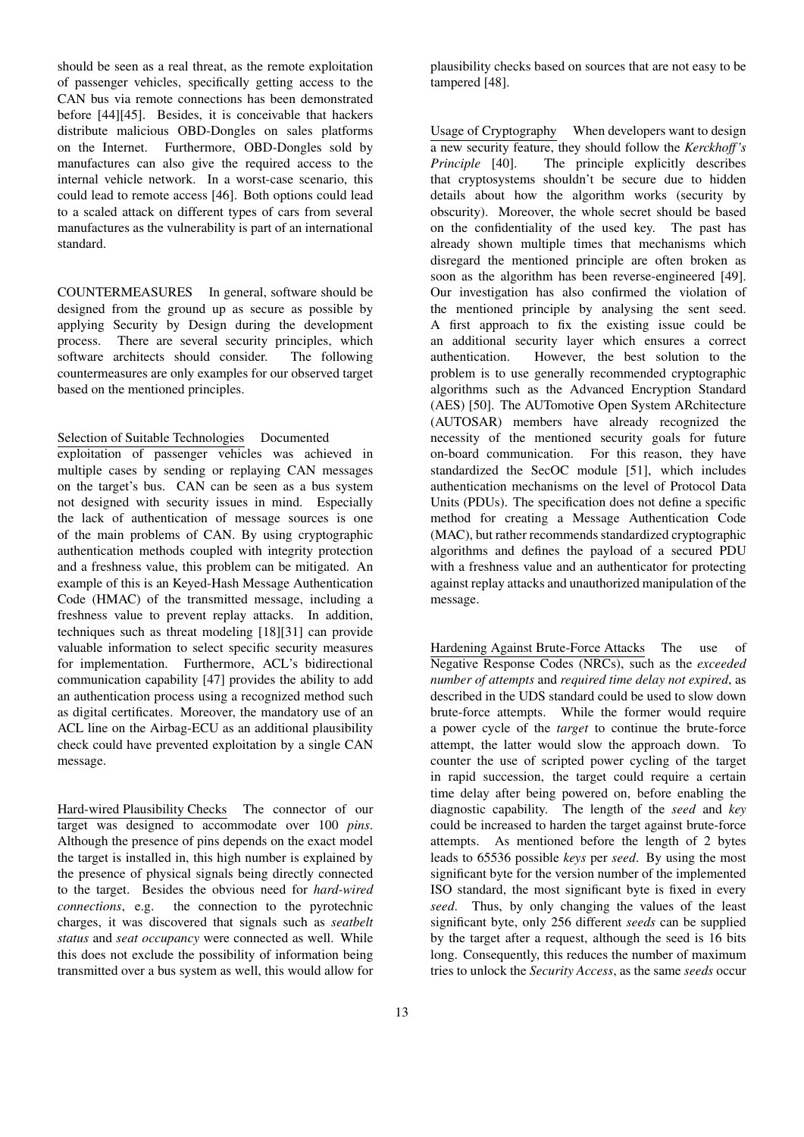should be seen as a real threat, as the remote exploitation of passenger vehicles, specifically getting access to the CAN bus via remote connections has been demonstrated before [44][45]. Besides, it is conceivable that hackers distribute malicious OBD-Dongles on sales platforms on the Internet. Furthermore, OBD-Dongles sold by manufactures can also give the required access to the internal vehicle network. In a worst-case scenario, this could lead to remote access [46]. Both options could lead to a scaled attack on different types of cars from several manufactures as the vulnerability is part of an international standard.

COUNTERMEASURES In general, software should be designed from the ground up as secure as possible by applying Security by Design during the development process. There are several security principles, which software architects should consider. The following countermeasures are only examples for our observed target based on the mentioned principles.

Selection of Suitable Technologies Documented

exploitation of passenger vehicles was achieved in multiple cases by sending or replaying CAN messages on the target's bus. CAN can be seen as a bus system not designed with security issues in mind. Especially the lack of authentication of message sources is one of the main problems of CAN. By using cryptographic authentication methods coupled with integrity protection and a freshness value, this problem can be mitigated. An example of this is an Keyed-Hash Message Authentication Code (HMAC) of the transmitted message, including a freshness value to prevent replay attacks. In addition, techniques such as threat modeling [18][31] can provide valuable information to select specific security measures for implementation. Furthermore, ACL's bidirectional communication capability [47] provides the ability to add an authentication process using a recognized method such as digital certificates. Moreover, the mandatory use of an ACL line on the Airbag-ECU as an additional plausibility check could have prevented exploitation by a single CAN message.

Hard-wired Plausibility Checks The connector of our target was designed to accommodate over 100 *pins*. Although the presence of pins depends on the exact model the target is installed in, this high number is explained by the presence of physical signals being directly connected to the target. Besides the obvious need for *hard-wired connections*, e.g. the connection to the pyrotechnic charges, it was discovered that signals such as *seatbelt status* and *seat occupancy* were connected as well. While this does not exclude the possibility of information being transmitted over a bus system as well, this would allow for plausibility checks based on sources that are not easy to be tampered [48].

Usage of Cryptography When developers want to design a new security feature, they should follow the *Kerckhoff 's Principle* [40]. The principle explicitly describes that cryptosystems shouldn't be secure due to hidden details about how the algorithm works (security by obscurity). Moreover, the whole secret should be based on the confidentiality of the used key. The past has already shown multiple times that mechanisms which disregard the mentioned principle are often broken as soon as the algorithm has been reverse-engineered [49]. Our investigation has also confirmed the violation of the mentioned principle by analysing the sent seed. A first approach to fix the existing issue could be an additional security layer which ensures a correct authentication. However, the best solution to the problem is to use generally recommended cryptographic algorithms such as the Advanced Encryption Standard (AES) [50]. The AUTomotive Open System ARchitecture (AUTOSAR) members have already recognized the necessity of the mentioned security goals for future on-board communication. For this reason, they have standardized the SecOC module [51], which includes authentication mechanisms on the level of Protocol Data Units (PDUs). The specification does not define a specific method for creating a Message Authentication Code (MAC), but rather recommends standardized cryptographic algorithms and defines the payload of a secured PDU with a freshness value and an authenticator for protecting against replay attacks and unauthorized manipulation of the message.

Hardening Against Brute-Force Attacks The use of Negative Response Codes (NRCs), such as the *exceeded number of attempts* and *required time delay not expired*, as described in the UDS standard could be used to slow down brute-force attempts. While the former would require a power cycle of the *target* to continue the brute-force attempt, the latter would slow the approach down. To counter the use of scripted power cycling of the target in rapid succession, the target could require a certain time delay after being powered on, before enabling the diagnostic capability. The length of the *seed* and *key* could be increased to harden the target against brute-force attempts. As mentioned before the length of 2 bytes leads to 65536 possible *keys* per *seed*. By using the most significant byte for the version number of the implemented ISO standard, the most significant byte is fixed in every *seed*. Thus, by only changing the values of the least significant byte, only 256 different *seeds* can be supplied by the target after a request, although the seed is 16 bits long. Consequently, this reduces the number of maximum tries to unlock the *Security Access*, as the same *seeds* occur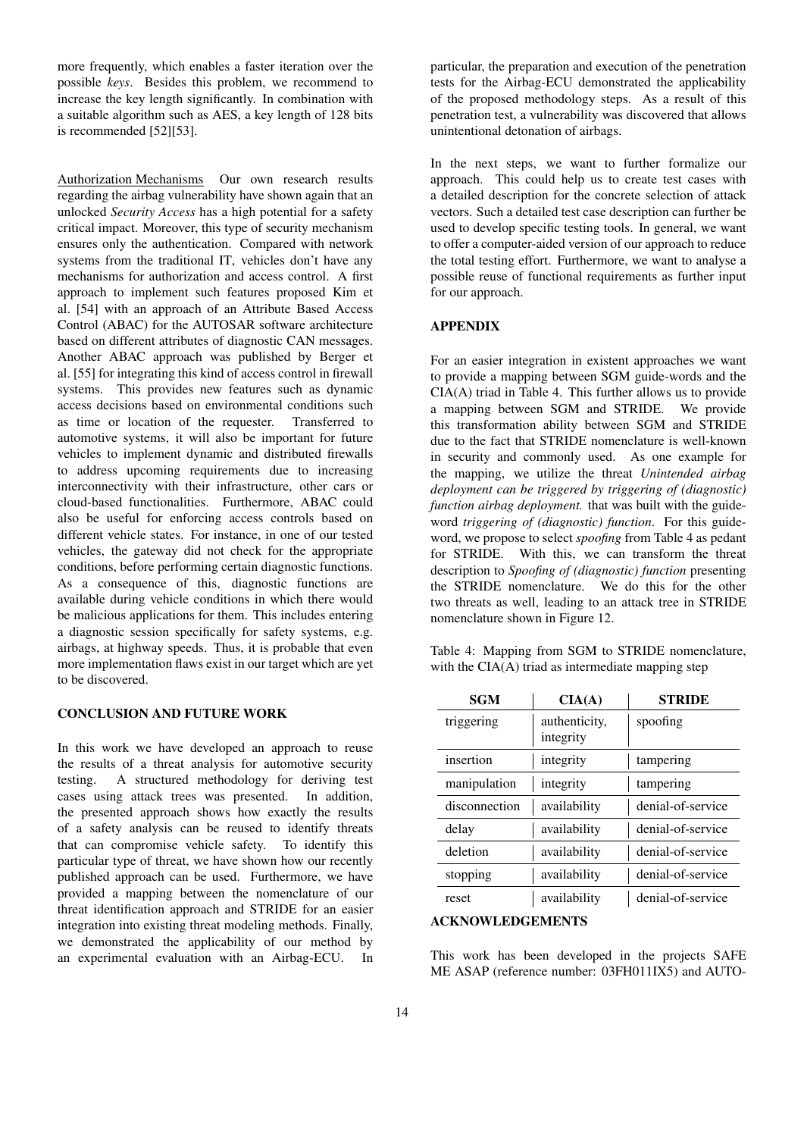more frequently, which enables a faster iteration over the possible *keys*. Besides this problem, we recommend to increase the key length significantly. In combination with a suitable algorithm such as AES, a key length of 128 bits is recommended [52][53].

Authorization Mechanisms Our own research results regarding the airbag vulnerability have shown again that an unlocked *Security Access* has a high potential for a safety critical impact. Moreover, this type of security mechanism ensures only the authentication. Compared with network systems from the traditional IT, vehicles don't have any mechanisms for authorization and access control. A first approach to implement such features proposed Kim et al. [54] with an approach of an Attribute Based Access Control (ABAC) for the AUTOSAR software architecture based on different attributes of diagnostic CAN messages. Another ABAC approach was published by Berger et al. [55] for integrating this kind of access control in firewall systems. This provides new features such as dynamic access decisions based on environmental conditions such as time or location of the requester. Transferred to automotive systems, it will also be important for future vehicles to implement dynamic and distributed firewalls to address upcoming requirements due to increasing interconnectivity with their infrastructure, other cars or cloud-based functionalities. Furthermore, ABAC could also be useful for enforcing access controls based on different vehicle states. For instance, in one of our tested vehicles, the gateway did not check for the appropriate conditions, before performing certain diagnostic functions. As a consequence of this, diagnostic functions are available during vehicle conditions in which there would be malicious applications for them. This includes entering a diagnostic session specifically for safety systems, e.g. airbags, at highway speeds. Thus, it is probable that even more implementation flaws exist in our target which are yet to be discovered.

### CONCLUSION AND FUTURE WORK

In this work we have developed an approach to reuse the results of a threat analysis for automotive security testing. A structured methodology for deriving test cases using attack trees was presented. In addition, the presented approach shows how exactly the results of a safety analysis can be reused to identify threats that can compromise vehicle safety. To identify this particular type of threat, we have shown how our recently published approach can be used. Furthermore, we have provided a mapping between the nomenclature of our threat identification approach and STRIDE for an easier integration into existing threat modeling methods. Finally, we demonstrated the applicability of our method by an experimental evaluation with an Airbag-ECU. In particular, the preparation and execution of the penetration tests for the Airbag-ECU demonstrated the applicability of the proposed methodology steps. As a result of this penetration test, a vulnerability was discovered that allows unintentional detonation of airbags.

In the next steps, we want to further formalize our approach. This could help us to create test cases with a detailed description for the concrete selection of attack vectors. Such a detailed test case description can further be used to develop specific testing tools. In general, we want to offer a computer-aided version of our approach to reduce the total testing effort. Furthermore, we want to analyse a possible reuse of functional requirements as further input for our approach.

#### APPENDIX

For an easier integration in existent approaches we want to provide a mapping between SGM guide-words and the CIA(A) triad in Table 4. This further allows us to provide a mapping between SGM and STRIDE. We provide this transformation ability between SGM and STRIDE due to the fact that STRIDE nomenclature is well-known in security and commonly used. As one example for the mapping, we utilize the threat *Unintended airbag deployment can be triggered by triggering of (diagnostic) function airbag deployment.* that was built with the guideword *triggering of (diagnostic) function*. For this guideword, we propose to select *spoofing* from Table 4 as pedant for STRIDE. With this, we can transform the threat description to *Spoofing of (diagnostic) function* presenting the STRIDE nomenclature. We do this for the other two threats as well, leading to an attack tree in STRIDE nomenclature shown in Figure 12.

| Table 4: Mapping from SGM to STRIDE nomenclature,    |  |  |
|------------------------------------------------------|--|--|
| with the $CIA(A)$ triad as intermediate mapping step |  |  |

| <b>SGM</b>    | CIA(A)                     | <b>STRIDE</b>     |  |
|---------------|----------------------------|-------------------|--|
| triggering    | authenticity,<br>integrity | spoofing          |  |
| insertion     | integrity                  | tampering         |  |
| manipulation  | integrity                  | tampering         |  |
| disconnection | availability               | denial-of-service |  |
| delay         | availability               | denial-of-service |  |
| deletion      | availability               | denial-of-service |  |
| stopping      | availability               | denial-of-service |  |
| reset         | availability               | denial-of-service |  |

# ACKNOWLEDGEMENTS

This work has been developed in the projects SAFE ME ASAP (reference number: 03FH011IX5) and AUTO-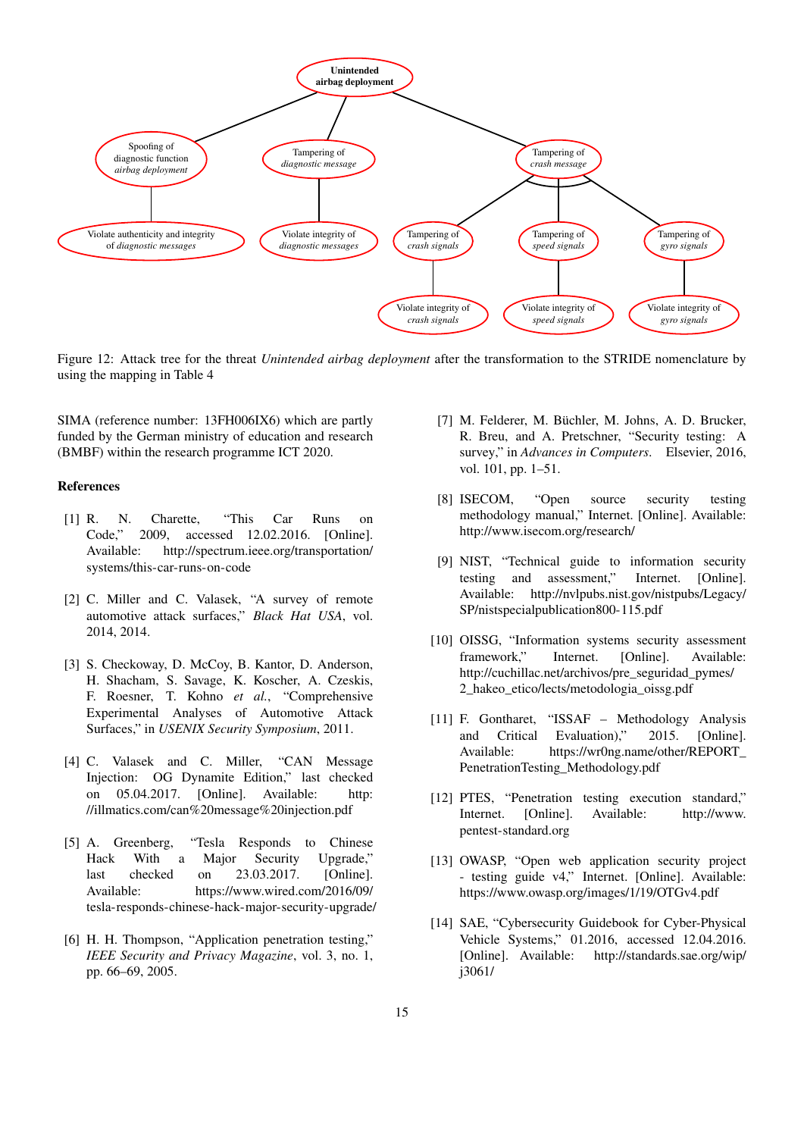

Figure 12: Attack tree for the threat *Unintended airbag deployment* after the transformation to the STRIDE nomenclature by using the mapping in Table 4

SIMA (reference number: 13FH006IX6) which are partly funded by the German ministry of education and research (BMBF) within the research programme ICT 2020.

#### References

- [1] R. N. Charette, "This Car Runs on Code," 2009, accessed 12.02.2016. [Online]. Available: http://spectrum.ieee.org/transportation/ systems/this-car-runs-on-code
- [2] C. Miller and C. Valasek, "A survey of remote automotive attack surfaces," *Black Hat USA*, vol. 2014, 2014.
- [3] S. Checkoway, D. McCoy, B. Kantor, D. Anderson, H. Shacham, S. Savage, K. Koscher, A. Czeskis, F. Roesner, T. Kohno *et al.*, "Comprehensive Experimental Analyses of Automotive Attack Surfaces," in *USENIX Security Symposium*, 2011.
- [4] C. Valasek and C. Miller, "CAN Message Injection: OG Dynamite Edition," last checked on 05.04.2017. [Online]. Available: http: //illmatics.com/can%20message%20injection.pdf
- [5] A. Greenberg, "Tesla Responds to Chinese Hack With a Major Security Upgrade," last checked on 23.03.2017. [Online]. Available: https://www.wired.com/2016/09/ tesla-responds-chinese-hack-major-security-upgrade/
- [6] H. H. Thompson, "Application penetration testing," *IEEE Security and Privacy Magazine*, vol. 3, no. 1, pp. 66–69, 2005.
- [7] M. Felderer, M. Büchler, M. Johns, A. D. Brucker, R. Breu, and A. Pretschner, "Security testing: A survey," in *Advances in Computers*. Elsevier, 2016, vol. 101, pp. 1–51.
- [8] ISECOM, "Open source security testing methodology manual," Internet. [Online]. Available: http://www.isecom.org/research/
- [9] NIST, "Technical guide to information security testing and assessment," Internet. [Online]. Available: http://nvlpubs.nist.gov/nistpubs/Legacy/ SP/nistspecialpublication800-115.pdf
- [10] OISSG, "Information systems security assessment framework," Internet. [Online]. Available: http://cuchillac.net/archivos/pre\_seguridad\_pymes/ 2\_hakeo\_etico/lects/metodologia\_oissg.pdf
- [11] F. Gontharet, "ISSAF Methodology Analysis and Critical Evaluation)," 2015. [Online]. Available: https://wr0ng.name/other/REPORT\_ PenetrationTesting\_Methodology.pdf
- [12] PTES, "Penetration testing execution standard," Internet. [Online]. Available: http://www. pentest-standard.org
- [13] OWASP, "Open web application security project - testing guide v4," Internet. [Online]. Available: https://www.owasp.org/images/1/19/OTGv4.pdf
- [14] SAE, "Cybersecurity Guidebook for Cyber-Physical Vehicle Systems," 01.2016, accessed 12.04.2016. [Online]. Available: http://standards.sae.org/wip/ j3061/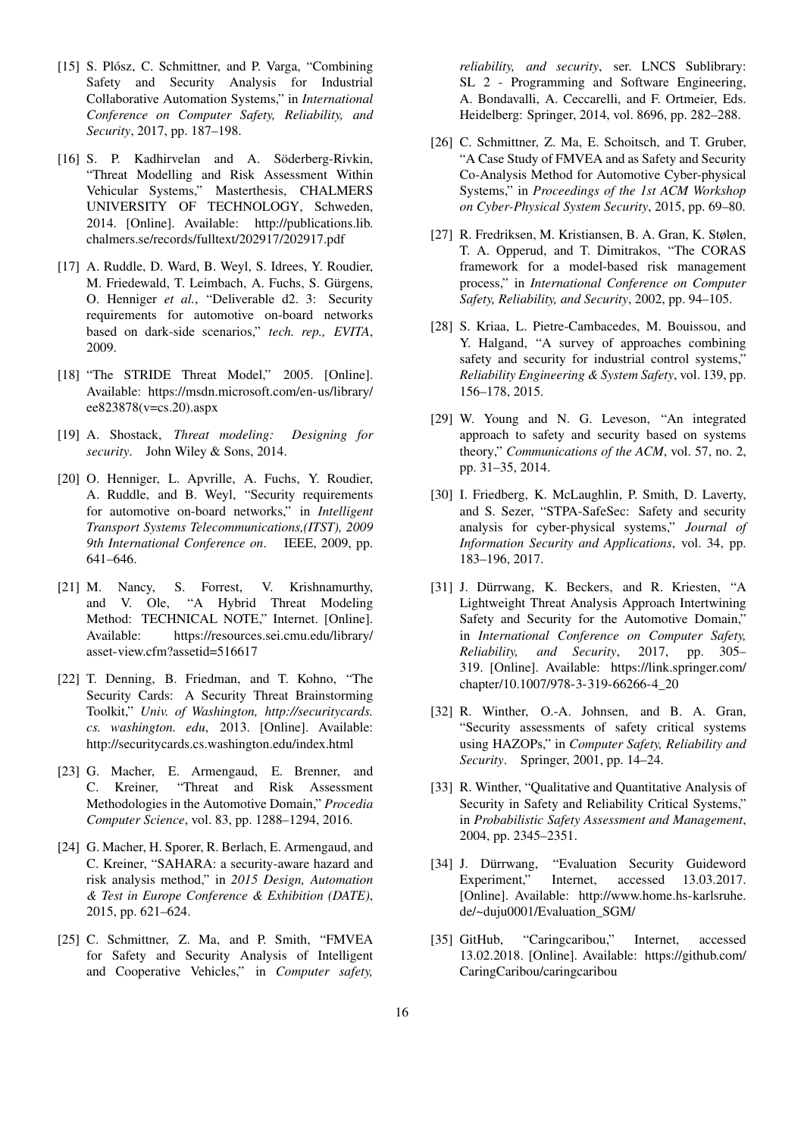- [15] S. Plósz, C. Schmittner, and P. Varga, "Combining Safety and Security Analysis for Industrial Collaborative Automation Systems," in *International Conference on Computer Safety, Reliability, and Security*, 2017, pp. 187–198.
- [16] S. P. Kadhirvelan and A. Söderberg-Rivkin, "Threat Modelling and Risk Assessment Within Vehicular Systems," Masterthesis, CHALMERS UNIVERSITY OF TECHNOLOGY, Schweden, 2014. [Online]. Available: http://publications.lib. chalmers.se/records/fulltext/202917/202917.pdf
- [17] A. Ruddle, D. Ward, B. Weyl, S. Idrees, Y. Roudier, M. Friedewald, T. Leimbach, A. Fuchs, S. Gürgens, O. Henniger *et al.*, "Deliverable d2. 3: Security requirements for automotive on-board networks based on dark-side scenarios," *tech. rep., EVITA*, 2009.
- [18] "The STRIDE Threat Model," 2005. [Online]. Available: https://msdn.microsoft.com/en-us/library/ ee823878(v=cs.20).aspx
- [19] A. Shostack, *Threat modeling: Designing for security*. John Wiley & Sons, 2014.
- [20] O. Henniger, L. Apvrille, A. Fuchs, Y. Roudier, A. Ruddle, and B. Weyl, "Security requirements for automotive on-board networks," in *Intelligent Transport Systems Telecommunications,(ITST), 2009 9th International Conference on*. IEEE, 2009, pp. 641–646.
- [21] M. Nancy, S. Forrest, V. Krishnamurthy, and V. Ole, "A Hybrid Threat Modeling Method: TECHNICAL NOTE," Internet. [Online]. Available: https://resources.sei.cmu.edu/library/ asset-view.cfm?assetid=516617
- [22] T. Denning, B. Friedman, and T. Kohno, "The Security Cards: A Security Threat Brainstorming Toolkit," *Univ. of Washington, http://securitycards. cs. washington. edu*, 2013. [Online]. Available: http://securitycards.cs.washington.edu/index.html
- [23] G. Macher, E. Armengaud, E. Brenner, and C. Kreiner, "Threat and Risk Assessment Methodologies in the Automotive Domain," *Procedia Computer Science*, vol. 83, pp. 1288–1294, 2016.
- [24] G. Macher, H. Sporer, R. Berlach, E. Armengaud, and C. Kreiner, "SAHARA: a security-aware hazard and risk analysis method," in *2015 Design, Automation & Test in Europe Conference & Exhibition (DATE)*, 2015, pp. 621–624.
- [25] C. Schmittner, Z. Ma, and P. Smith, "FMVEA for Safety and Security Analysis of Intelligent and Cooperative Vehicles," in *Computer safety,*

*reliability, and security*, ser. LNCS Sublibrary: SL 2 - Programming and Software Engineering, A. Bondavalli, A. Ceccarelli, and F. Ortmeier, Eds. Heidelberg: Springer, 2014, vol. 8696, pp. 282–288.

- [26] C. Schmittner, Z. Ma, E. Schoitsch, and T. Gruber, "A Case Study of FMVEA and as Safety and Security Co-Analysis Method for Automotive Cyber-physical Systems," in *Proceedings of the 1st ACM Workshop on Cyber-Physical System Security*, 2015, pp. 69–80.
- [27] R. Fredriksen, M. Kristiansen, B. A. Gran, K. Stølen, T. A. Opperud, and T. Dimitrakos, "The CORAS framework for a model-based risk management process," in *International Conference on Computer Safety, Reliability, and Security*, 2002, pp. 94–105.
- [28] S. Kriaa, L. Pietre-Cambacedes, M. Bouissou, and Y. Halgand, "A survey of approaches combining safety and security for industrial control systems," *Reliability Engineering & System Safety*, vol. 139, pp. 156–178, 2015.
- [29] W. Young and N. G. Leveson, "An integrated approach to safety and security based on systems theory," *Communications of the ACM*, vol. 57, no. 2, pp. 31–35, 2014.
- [30] I. Friedberg, K. McLaughlin, P. Smith, D. Laverty, and S. Sezer, "STPA-SafeSec: Safety and security analysis for cyber-physical systems," *Journal of Information Security and Applications*, vol. 34, pp. 183–196, 2017.
- [31] J. Dürrwang, K. Beckers, and R. Kriesten, "A Lightweight Threat Analysis Approach Intertwining Safety and Security for the Automotive Domain," in *International Conference on Computer Safety, Reliability, and Security*, 2017, pp. 305– 319. [Online]. Available: https://link.springer.com/ chapter/10.1007/978-3-319-66266-4\_20
- [32] R. Winther, O.-A. Johnsen, and B. A. Gran, "Security assessments of safety critical systems using HAZOPs," in *Computer Safety, Reliability and Security*. Springer, 2001, pp. 14–24.
- [33] R. Winther, "Qualitative and Quantitative Analysis of Security in Safety and Reliability Critical Systems," in *Probabilistic Safety Assessment and Management*, 2004, pp. 2345–2351.
- [34] J. Dürrwang, "Evaluation Security Guideword Experiment," Internet, accessed 13.03.2017. [Online]. Available: http://www.home.hs-karlsruhe. de/~duju0001/Evaluation\_SGM/
- [35] GitHub, "Caringcaribou," Internet, accessed 13.02.2018. [Online]. Available: https://github.com/ CaringCaribou/caringcaribou